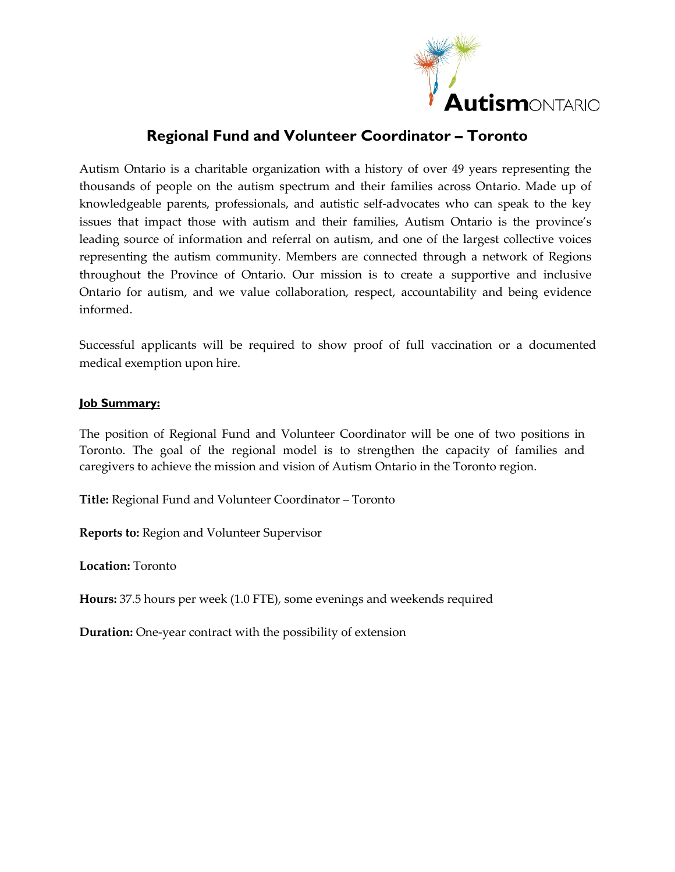

# **Regional Fund and Volunteer Coordinator – Toronto**

Autism Ontario is a charitable organization with a history of over 49 years representing the thousands of people on the autism spectrum and their families across Ontario. Made up of knowledgeable parents, professionals, and autistic self-advocates who can speak to the key issues that impact those with autism and their families, Autism Ontario is the province's leading source of information and referral on autism, and one of the largest collective voices representing the autism community. Members are connected through a network of Regions throughout the Province of Ontario. Our mission is to create a supportive and inclusive Ontario for autism, and we value collaboration, respect, accountability and being evidence informed.

Successful applicants will be required to show proof of full vaccination or a documented medical exemption upon hire.

### **Job Summary:**

The position of Regional Fund and Volunteer Coordinator will be one of two positions in Toronto. The goal of the regional model is to strengthen the capacity of families and caregivers to achieve the mission and vision of Autism Ontario in the Toronto region.

**Title:** Regional Fund and Volunteer Coordinator – Toronto

**Reports to:** Region and Volunteer Supervisor

**Location:** Toronto

**Hours:** 37.5 hours per week (1.0 FTE), some evenings and weekends required

**Duration:** One-year contract with the possibility of extension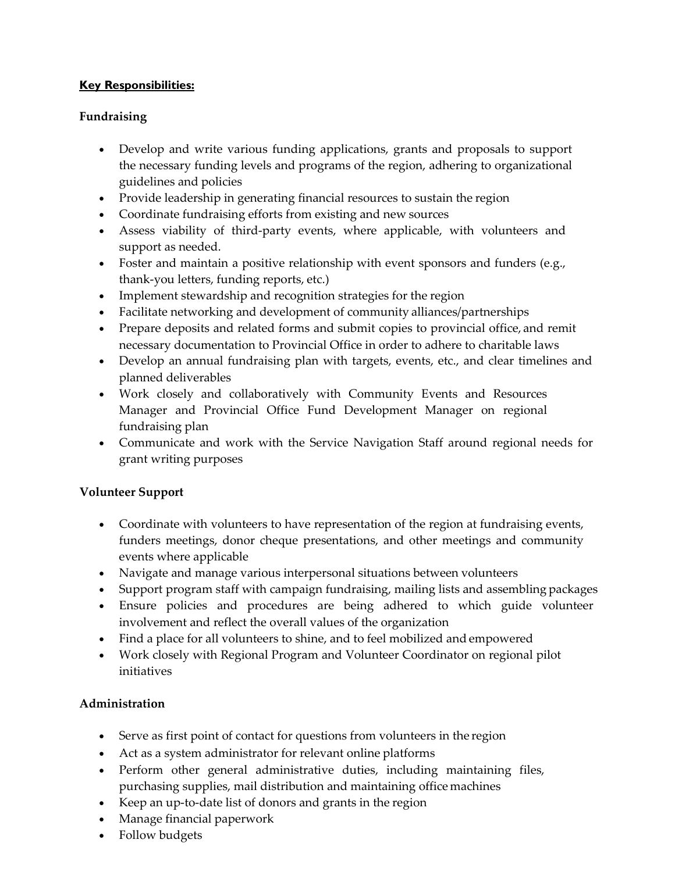## **Key Responsibilities:**

## **Fundraising**

- Develop and write various funding applications, grants and proposals to support the necessary funding levels and programs of the region, adhering to organizational guidelines and policies
- Provide leadership in generating financial resources to sustain the region
- Coordinate fundraising efforts from existing and new sources
- Assess viability of third-party events, where applicable, with volunteers and support as needed.
- Foster and maintain a positive relationship with event sponsors and funders (e.g., thank-you letters, funding reports, etc.)
- Implement stewardship and recognition strategies for the region
- Facilitate networking and development of community alliances/partnerships
- Prepare deposits and related forms and submit copies to provincial office, and remit necessary documentation to Provincial Office in order to adhere to charitable laws
- Develop an annual fundraising plan with targets, events, etc., and clear timelines and planned deliverables
- Work closely and collaboratively with Community Events and Resources Manager and Provincial Office Fund Development Manager on regional fundraising plan
- Communicate and work with the Service Navigation Staff around regional needs for grant writing purposes

## **Volunteer Support**

- Coordinate with volunteers to have representation of the region at fundraising events, funders meetings, donor cheque presentations, and other meetings and community events where applicable
- Navigate and manage various interpersonal situations between volunteers
- Support program staff with campaign fundraising, mailing lists and assembling packages
- Ensure policies and procedures are being adhered to which guide volunteer involvement and reflect the overall values of the organization
- Find a place for all volunteers to shine, and to feel mobilized and empowered
- Work closely with Regional Program and Volunteer Coordinator on regional pilot initiatives

## **Administration**

- Serve as first point of contact for questions from volunteers in the region
- Act as a system administrator for relevant online platforms
- Perform other general administrative duties, including maintaining files, purchasing supplies, mail distribution and maintaining office machines
- Keep an up-to-date list of donors and grants in the region
- Manage financial paperwork
- Follow budgets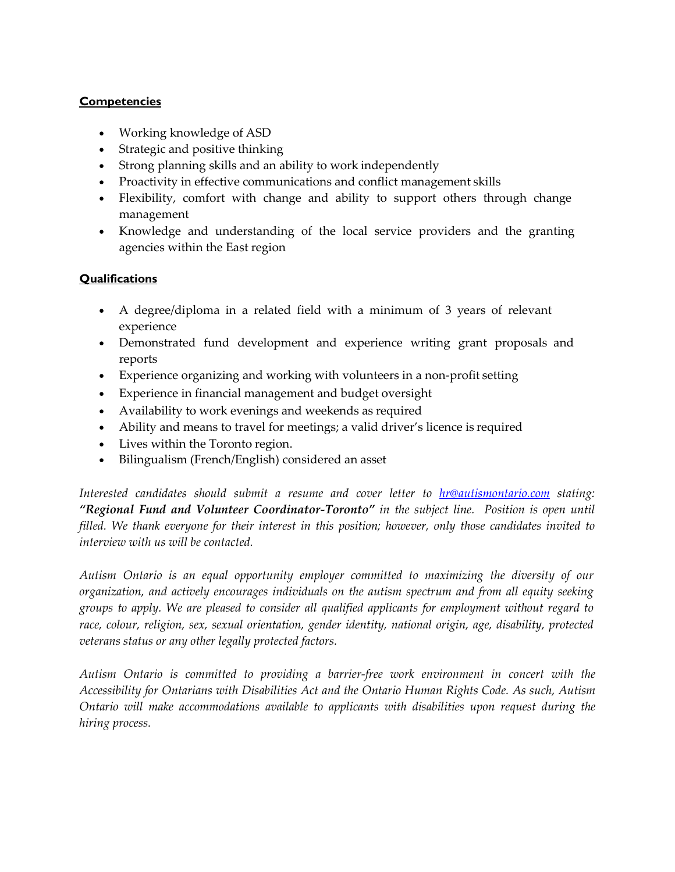### **Competencies**

- Working knowledge of ASD
- Strategic and positive thinking
- Strong planning skills and an ability to work independently
- Proactivity in effective communications and conflict management skills
- Flexibility, comfort with change and ability to support others through change management
- Knowledge and understanding of the local service providers and the granting agencies within the East region

### **Qualifications**

- A degree/diploma in a related field with a minimum of 3 years of relevant experience
- Demonstrated fund development and experience writing grant proposals and reports
- Experience organizing and working with volunteers in a non-profit setting
- Experience in financial management and budget oversight
- Availability to work evenings and weekends as required
- Ability and means to travel for meetings; a valid driver's licence is required
- Lives within the Toronto region.
- Bilingualism (French/English) considered an asset

*Interested candidates should submit a resume and cover letter to [hr@autismontario.com](mailto:hr@autismontario.com) stating: "Regional Fund and Volunteer Coordinator-Toronto" in the subject line. Position is open until filled. We thank everyone for their interest in this position; however, only those candidates invited to interview with us will be contacted.*

*Autism Ontario is an equal opportunity employer committed to maximizing the diversity of our organization, and actively encourages individuals on the autism spectrum and from all equity seeking groups to apply. We are pleased to consider all qualified applicants for employment without regard to race, colour, religion, sex, sexual orientation, gender identity, national origin, age, disability, protected veterans status or any other legally protected factors.*

*Autism Ontario is committed to providing a barrier-free work environment in concert with the Accessibility for Ontarians with Disabilities Act and the Ontario Human Rights Code. As such, Autism Ontario will make accommodations available to applicants with disabilities upon request during the hiring process.*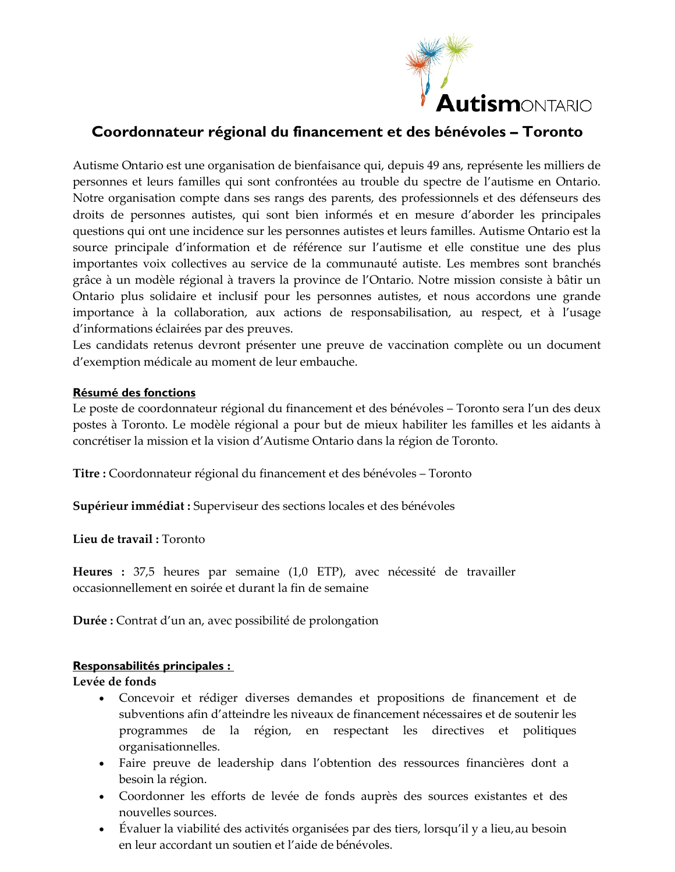

## **Coordonnateur régional du financement et des bénévoles – Toronto**

Autisme Ontario est une organisation de bienfaisance qui, depuis 49 ans, représente les milliers de personnes et leurs familles qui sont confrontées au trouble du spectre de l'autisme en Ontario. Notre organisation compte dans ses rangs des parents, des professionnels et des défenseurs des droits de personnes autistes, qui sont bien informés et en mesure d'aborder les principales questions qui ont une incidence sur les personnes autistes et leurs familles. Autisme Ontario est la source principale d'information et de référence sur l'autisme et elle constitue une des plus importantes voix collectives au service de la communauté autiste. Les membres sont branchés grâce à un modèle régional à travers la province de l'Ontario. Notre mission consiste à bâtir un Ontario plus solidaire et inclusif pour les personnes autistes, et nous accordons une grande importance à la collaboration, aux actions de responsabilisation, au respect, et à l'usage d'informations éclairées par des preuves.

Les candidats retenus devront présenter une preuve de vaccination complète ou un document d'exemption médicale au moment de leur embauche.

#### **Résumé des fonctions**

Le poste de coordonnateur régional du financement et des bénévoles – Toronto sera l'un des deux postes à Toronto. Le modèle régional a pour but de mieux habiliter les familles et les aidants à concrétiser la mission et la vision d'Autisme Ontario dans la région de Toronto.

**Titre :** Coordonnateur régional du financement et des bénévoles – Toronto

**Supérieur immédiat :** Superviseur des sections locales et des bénévoles

**Lieu de travail :** Toronto

**Heures :** 37,5 heures par semaine (1,0 ETP), avec nécessité de travailler occasionnellement en soirée et durant la fin de semaine

**Durée :** Contrat d'un an, avec possibilité de prolongation

## **Responsabilités principales :**

**Levée de fonds**

- Concevoir et rédiger diverses demandes et propositions de financement et de subventions afin d'atteindre les niveaux de financement nécessaires et de soutenir les programmes de la région, en respectant les directives et politiques organisationnelles.
- Faire preuve de leadership dans l'obtention des ressources financières dont a besoin la région.
- Coordonner les efforts de levée de fonds auprès des sources existantes et des nouvelles sources.
- Évaluer la viabilité des activités organisées par des tiers, lorsqu'il y a lieu,au besoin en leur accordant un soutien et l'aide de bénévoles.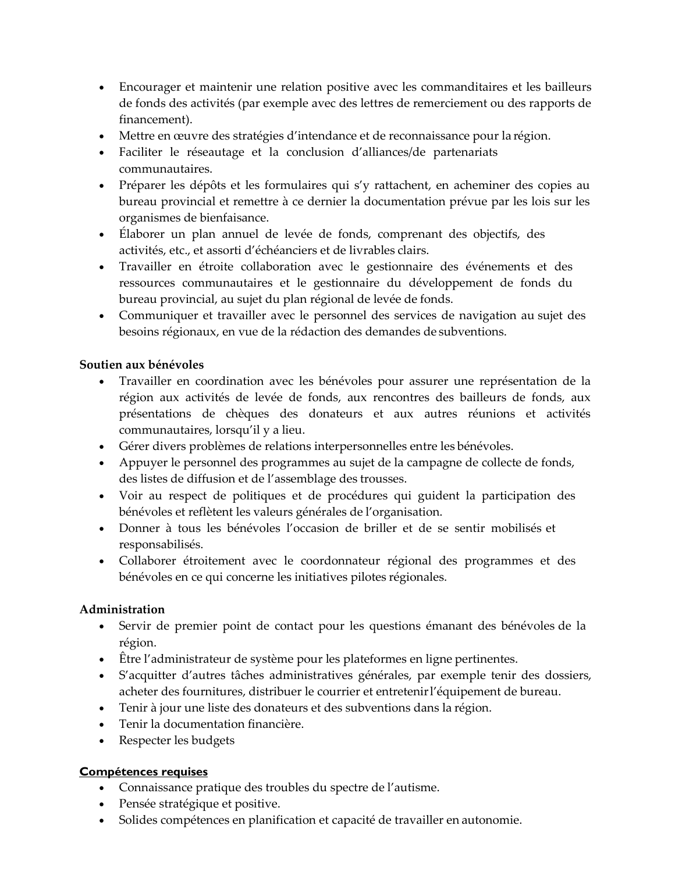- Encourager et maintenir une relation positive avec les commanditaires et les bailleurs de fonds des activités (par exemple avec des lettres de remerciement ou des rapports de financement).
- Mettre en œuvre des stratégies d'intendance et de reconnaissance pour la région.
- Faciliter le réseautage et la conclusion d'alliances/de partenariats communautaires.
- Préparer les dépôts et les formulaires qui s'y rattachent, en acheminer des copies au bureau provincial et remettre à ce dernier la documentation prévue par les lois sur les organismes de bienfaisance.
- Élaborer un plan annuel de levée de fonds, comprenant des objectifs, des activités, etc., et assorti d'échéanciers et de livrables clairs.
- Travailler en étroite collaboration avec le gestionnaire des événements et des ressources communautaires et le gestionnaire du développement de fonds du bureau provincial, au sujet du plan régional de levée de fonds.
- Communiquer et travailler avec le personnel des services de navigation au sujet des besoins régionaux, en vue de la rédaction des demandes de subventions.

## **Soutien aux bénévoles**

- Travailler en coordination avec les bénévoles pour assurer une représentation de la région aux activités de levée de fonds, aux rencontres des bailleurs de fonds, aux présentations de chèques des donateurs et aux autres réunions et activités communautaires, lorsqu'il y a lieu.
- Gérer divers problèmes de relations interpersonnelles entre les bénévoles.
- Appuyer le personnel des programmes au sujet de la campagne de collecte de fonds, des listes de diffusion et de l'assemblage des trousses.
- Voir au respect de politiques et de procédures qui guident la participation des bénévoles et reflètent les valeurs générales de l'organisation.
- Donner à tous les bénévoles l'occasion de briller et de se sentir mobilisés et responsabilisés.
- Collaborer étroitement avec le coordonnateur régional des programmes et des bénévoles en ce qui concerne les initiatives pilotes régionales.

## **Administration**

- Servir de premier point de contact pour les questions émanant des bénévoles de la région.
- Être l'administrateur de système pour les plateformes en ligne pertinentes.
- S'acquitter d'autres tâches administratives générales, par exemple tenir des dossiers, acheter des fournitures, distribuer le courrier et entretenir l'équipement de bureau.
- Tenir à jour une liste des donateurs et des subventions dans la région.
- Tenir la documentation financière.
- Respecter les budgets

## **Compétences requises**

- Connaissance pratique des troubles du spectre de l'autisme.
- Pensée stratégique et positive.
- Solides compétences en planification et capacité de travailler en autonomie.